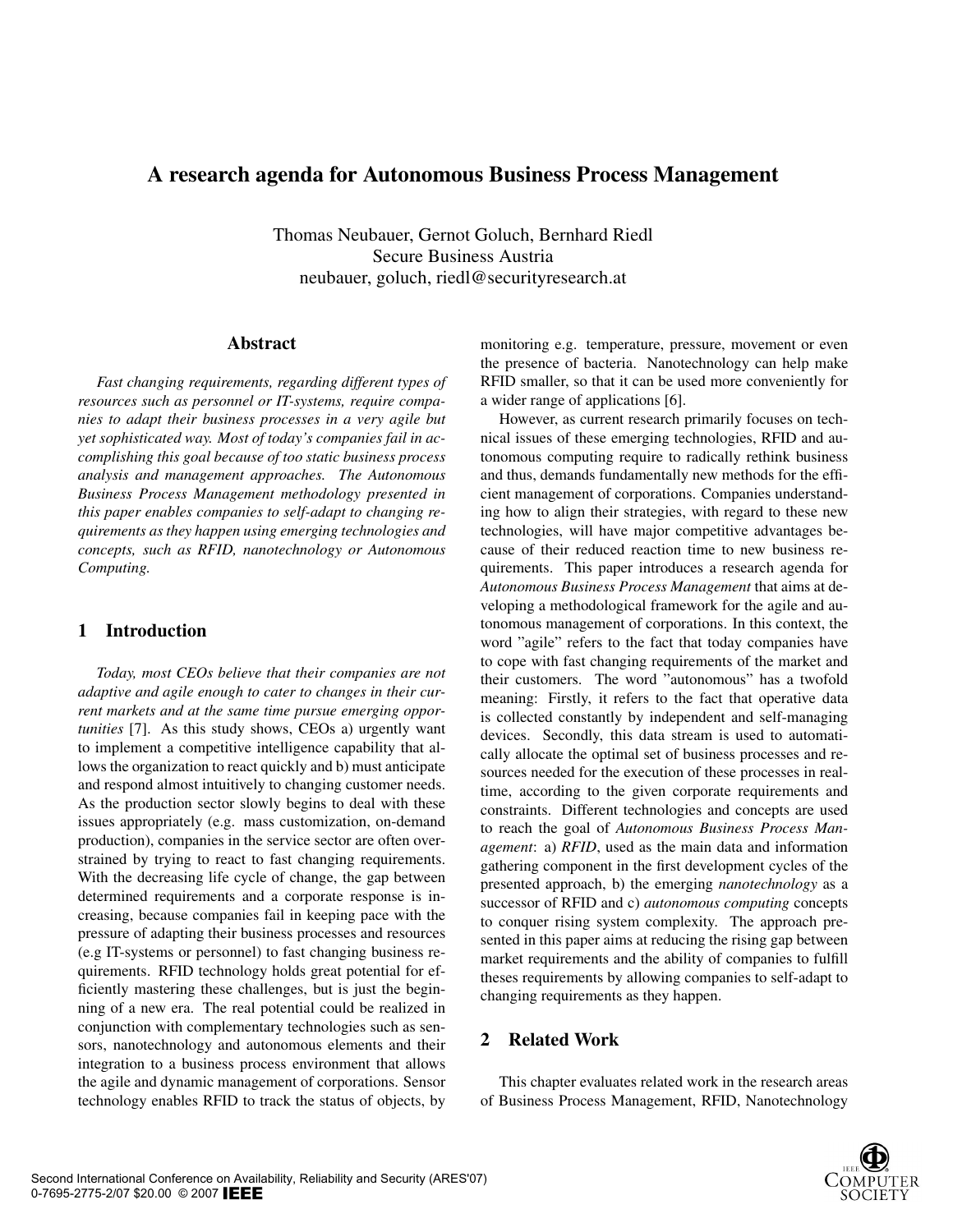# A research agenda for Autonomous Business Process Management

Thomas Neubauer, Gernot Goluch, Bernhard Riedl Secure Business Austria neubauer, goluch, riedl@securityresearch.at

## Abstract

*Fast changing requirements, regarding different types of resources such as personnel or IT-systems, require companies to adapt their business processes in a very agile but yet sophisticated way. Most of today's companies fail in accomplishing this goal because of too static business process analysis and management approaches. The Autonomous Business Process Management methodology presented in this paper enables companies to self-adapt to changing requirements as they happen using emerging technologies and concepts, such as RFID, nanotechnology or Autonomous Computing.*

## 1 Introduction

*Today, most CEOs believe that their companies are not adaptive and agile enough to cater to changes in their current markets and at the same time pursue emerging opportunities* [7]. As this study shows, CEOs a) urgently want to implement a competitive intelligence capability that allows the organization to react quickly and b) must anticipate and respond almost intuitively to changing customer needs. As the production sector slowly begins to deal with these issues appropriately (e.g. mass customization, on-demand production), companies in the service sector are often overstrained by trying to react to fast changing requirements. With the decreasing life cycle of change, the gap between determined requirements and a corporate response is increasing, because companies fail in keeping pace with the pressure of adapting their business processes and resources (e.g IT-systems or personnel) to fast changing business requirements. RFID technology holds great potential for efficiently mastering these challenges, but is just the beginning of a new era. The real potential could be realized in conjunction with complementary technologies such as sensors, nanotechnology and autonomous elements and their integration to a business process environment that allows the agile and dynamic management of corporations. Sensor technology enables RFID to track the status of objects, by

monitoring e.g. temperature, pressure, movement or even the presence of bacteria. Nanotechnology can help make RFID smaller, so that it can be used more conveniently for a wider range of applications [6].

However, as current research primarily focuses on technical issues of these emerging technologies, RFID and autonomous computing require to radically rethink business and thus, demands fundamentally new methods for the efficient management of corporations. Companies understanding how to align their strategies, with regard to these new technologies, will have major competitive advantages because of their reduced reaction time to new business requirements. This paper introduces a research agenda for *Autonomous Business Process Management* that aims at developing a methodological framework for the agile and autonomous management of corporations. In this context, the word "agile" refers to the fact that today companies have to cope with fast changing requirements of the market and their customers. The word "autonomous" has a twofold meaning: Firstly, it refers to the fact that operative data is collected constantly by independent and self-managing devices. Secondly, this data stream is used to automatically allocate the optimal set of business processes and resources needed for the execution of these processes in realtime, according to the given corporate requirements and constraints. Different technologies and concepts are used to reach the goal of *Autonomous Business Process Management*: a) *RFID*, used as the main data and information gathering component in the first development cycles of the presented approach, b) the emerging *nanotechnology* as a successor of RFID and c) *autonomous computing* concepts to conquer rising system complexity. The approach presented in this paper aims at reducing the rising gap between market requirements and the ability of companies to fulfill theses requirements by allowing companies to self-adapt to changing requirements as they happen.

## 2 Related Work

This chapter evaluates related work in the research areas of Business Process Management, RFID, Nanotechnology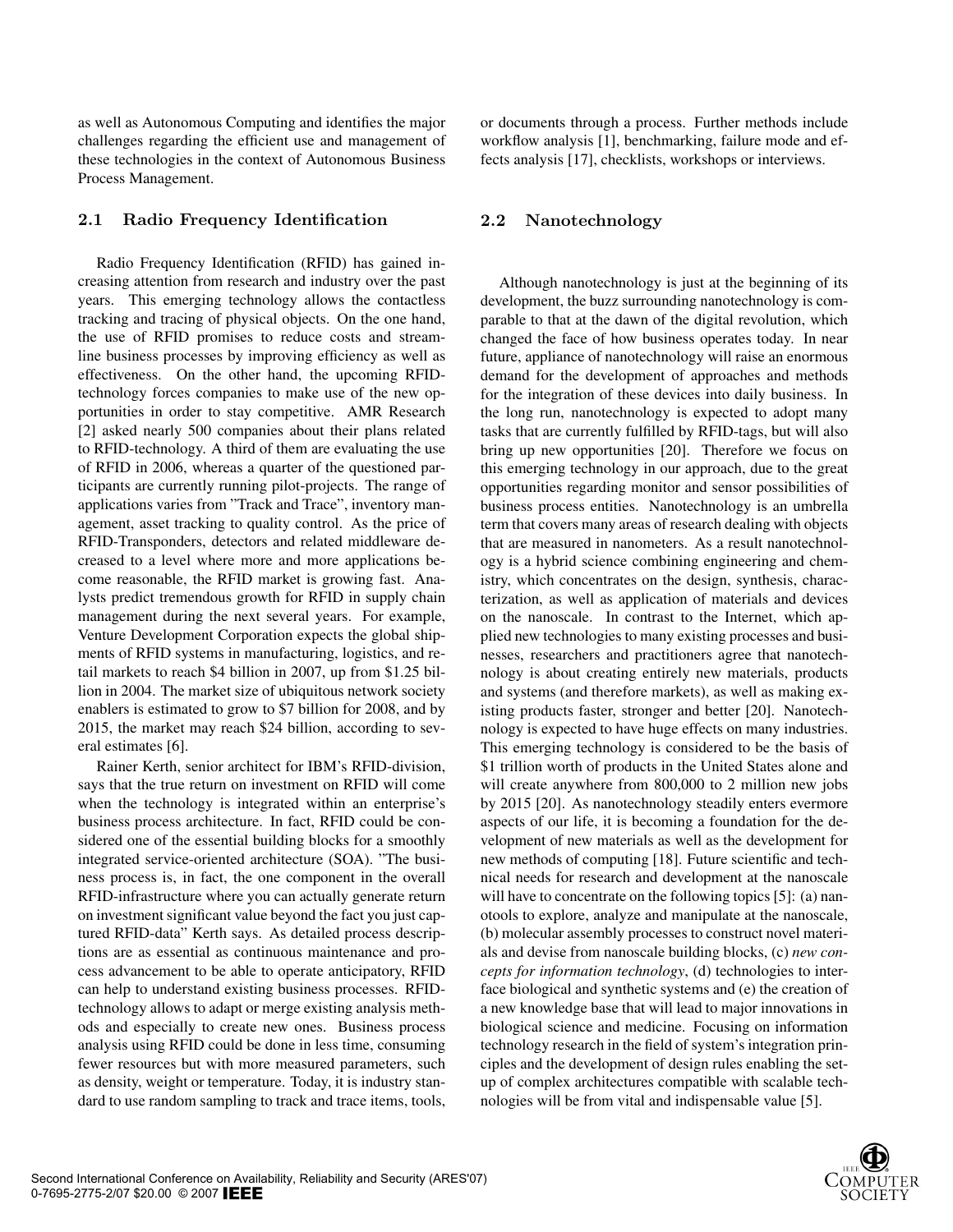as well as Autonomous Computing and identifies the major challenges regarding the efficient use and management of these technologies in the context of Autonomous Business Process Management.

#### 2.1 Radio Frequency Identification

Radio Frequency Identification (RFID) has gained increasing attention from research and industry over the past years. This emerging technology allows the contactless tracking and tracing of physical objects. On the one hand, the use of RFID promises to reduce costs and streamline business processes by improving efficiency as well as effectiveness. On the other hand, the upcoming RFIDtechnology forces companies to make use of the new opportunities in order to stay competitive. AMR Research [2] asked nearly 500 companies about their plans related to RFID-technology. A third of them are evaluating the use of RFID in 2006, whereas a quarter of the questioned participants are currently running pilot-projects. The range of applications varies from "Track and Trace", inventory management, asset tracking to quality control. As the price of RFID-Transponders, detectors and related middleware decreased to a level where more and more applications become reasonable, the RFID market is growing fast. Analysts predict tremendous growth for RFID in supply chain management during the next several years. For example, Venture Development Corporation expects the global shipments of RFID systems in manufacturing, logistics, and retail markets to reach \$4 billion in 2007, up from \$1.25 billion in 2004. The market size of ubiquitous network society enablers is estimated to grow to \$7 billion for 2008, and by 2015, the market may reach \$24 billion, according to several estimates [6].

Rainer Kerth, senior architect for IBM's RFID-division, says that the true return on investment on RFID will come when the technology is integrated within an enterprise's business process architecture. In fact, RFID could be considered one of the essential building blocks for a smoothly integrated service-oriented architecture (SOA). "The business process is, in fact, the one component in the overall RFID-infrastructure where you can actually generate return on investment significant value beyond the fact you just captured RFID-data" Kerth says. As detailed process descriptions are as essential as continuous maintenance and process advancement to be able to operate anticipatory, RFID can help to understand existing business processes. RFIDtechnology allows to adapt or merge existing analysis methods and especially to create new ones. Business process analysis using RFID could be done in less time, consuming fewer resources but with more measured parameters, such as density, weight or temperature. Today, it is industry standard to use random sampling to track and trace items, tools, or documents through a process. Further methods include workflow analysis [1], benchmarking, failure mode and effects analysis [17], checklists, workshops or interviews.

## 2.2 Nanotechnology

Although nanotechnology is just at the beginning of its development, the buzz surrounding nanotechnology is comparable to that at the dawn of the digital revolution, which changed the face of how business operates today. In near future, appliance of nanotechnology will raise an enormous demand for the development of approaches and methods for the integration of these devices into daily business. In the long run, nanotechnology is expected to adopt many tasks that are currently fulfilled by RFID-tags, but will also bring up new opportunities [20]. Therefore we focus on this emerging technology in our approach, due to the great opportunities regarding monitor and sensor possibilities of business process entities. Nanotechnology is an umbrella term that covers many areas of research dealing with objects that are measured in nanometers. As a result nanotechnology is a hybrid science combining engineering and chemistry, which concentrates on the design, synthesis, characterization, as well as application of materials and devices on the nanoscale. In contrast to the Internet, which applied new technologies to many existing processes and businesses, researchers and practitioners agree that nanotechnology is about creating entirely new materials, products and systems (and therefore markets), as well as making existing products faster, stronger and better [20]. Nanotechnology is expected to have huge effects on many industries. This emerging technology is considered to be the basis of \$1 trillion worth of products in the United States alone and will create anywhere from 800,000 to 2 million new jobs by 2015 [20]. As nanotechnology steadily enters evermore aspects of our life, it is becoming a foundation for the development of new materials as well as the development for new methods of computing [18]. Future scientific and technical needs for research and development at the nanoscale will have to concentrate on the following topics [5]: (a) nanotools to explore, analyze and manipulate at the nanoscale, (b) molecular assembly processes to construct novel materials and devise from nanoscale building blocks, (c) *new concepts for information technology*, (d) technologies to interface biological and synthetic systems and (e) the creation of a new knowledge base that will lead to major innovations in biological science and medicine. Focusing on information technology research in the field of system's integration principles and the development of design rules enabling the setup of complex architectures compatible with scalable technologies will be from vital and indispensable value [5].

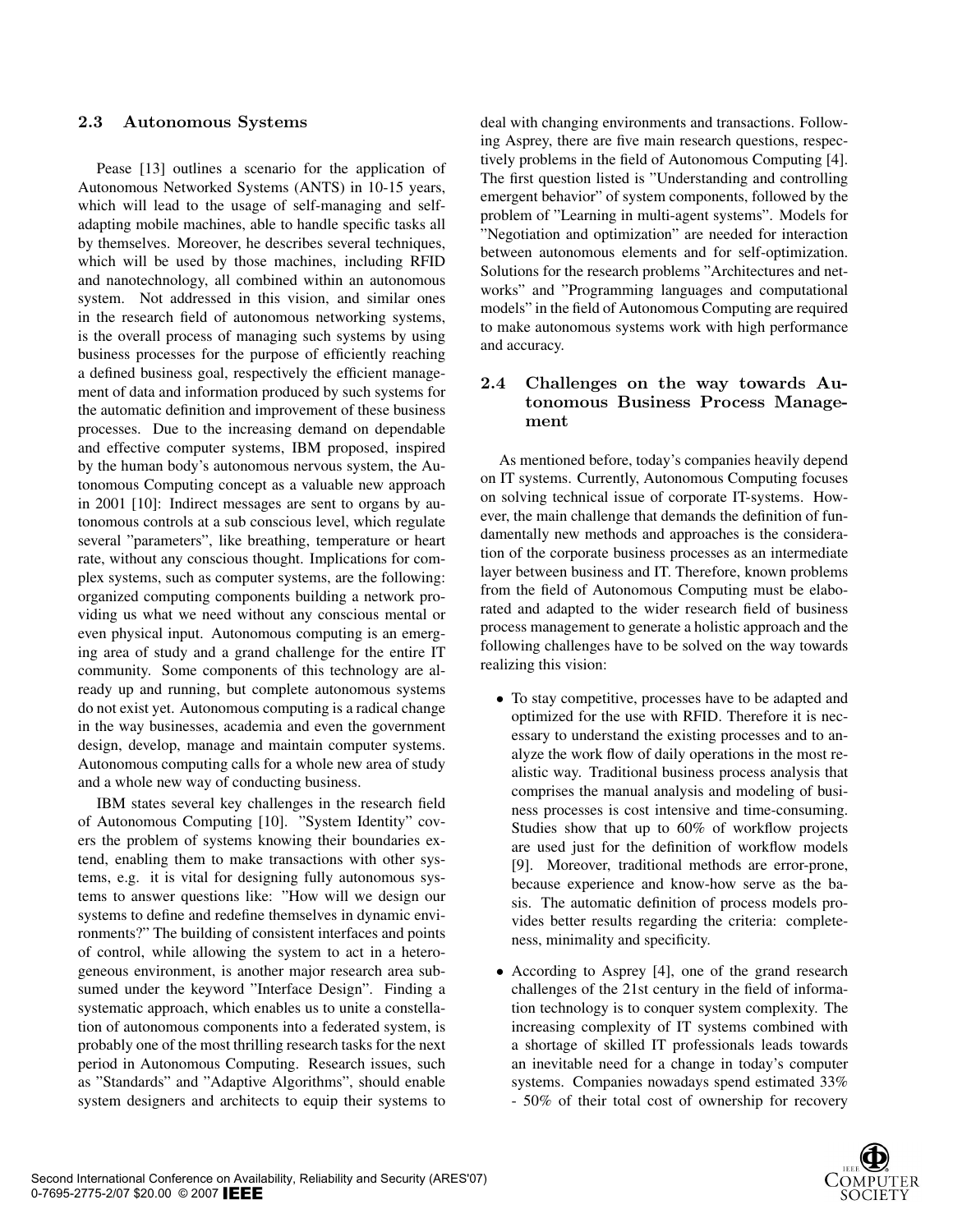## 2.3 Autonomous Systems

Pease [13] outlines a scenario for the application of Autonomous Networked Systems (ANTS) in 10-15 years, which will lead to the usage of self-managing and selfadapting mobile machines, able to handle specific tasks all by themselves. Moreover, he describes several techniques, which will be used by those machines, including RFID and nanotechnology, all combined within an autonomous system. Not addressed in this vision, and similar ones in the research field of autonomous networking systems, is the overall process of managing such systems by using business processes for the purpose of efficiently reaching a defined business goal, respectively the efficient management of data and information produced by such systems for the automatic definition and improvement of these business processes. Due to the increasing demand on dependable and effective computer systems, IBM proposed, inspired by the human body's autonomous nervous system, the Autonomous Computing concept as a valuable new approach in 2001 [10]: Indirect messages are sent to organs by autonomous controls at a sub conscious level, which regulate several "parameters", like breathing, temperature or heart rate, without any conscious thought. Implications for complex systems, such as computer systems, are the following: organized computing components building a network providing us what we need without any conscious mental or even physical input. Autonomous computing is an emerging area of study and a grand challenge for the entire IT community. Some components of this technology are already up and running, but complete autonomous systems do not exist yet. Autonomous computing is a radical change in the way businesses, academia and even the government design, develop, manage and maintain computer systems. Autonomous computing calls for a whole new area of study and a whole new way of conducting business.

IBM states several key challenges in the research field of Autonomous Computing [10]. "System Identity" covers the problem of systems knowing their boundaries extend, enabling them to make transactions with other systems, e.g. it is vital for designing fully autonomous systems to answer questions like: "How will we design our systems to define and redefine themselves in dynamic environments?" The building of consistent interfaces and points of control, while allowing the system to act in a heterogeneous environment, is another major research area subsumed under the keyword "Interface Design". Finding a systematic approach, which enables us to unite a constellation of autonomous components into a federated system, is probably one of the most thrilling research tasks for the next period in Autonomous Computing. Research issues, such as "Standards" and "Adaptive Algorithms", should enable system designers and architects to equip their systems to deal with changing environments and transactions. Following Asprey, there are five main research questions, respectively problems in the field of Autonomous Computing [4]. The first question listed is "Understanding and controlling emergent behavior" of system components, followed by the problem of "Learning in multi-agent systems". Models for "Negotiation and optimization" are needed for interaction between autonomous elements and for self-optimization. Solutions for the research problems "Architectures and networks" and "Programming languages and computational models" in the field of Autonomous Computing are required to make autonomous systems work with high performance and accuracy.

## 2.4 Challenges on the way towards Autonomous Business Process Management

As mentioned before, today's companies heavily depend on IT systems. Currently, Autonomous Computing focuses on solving technical issue of corporate IT-systems. However, the main challenge that demands the definition of fundamentally new methods and approaches is the consideration of the corporate business processes as an intermediate layer between business and IT. Therefore, known problems from the field of Autonomous Computing must be elaborated and adapted to the wider research field of business process management to generate a holistic approach and the following challenges have to be solved on the way towards realizing this vision:

- To stay competitive, processes have to be adapted and optimized for the use with RFID. Therefore it is necessary to understand the existing processes and to analyze the work flow of daily operations in the most realistic way. Traditional business process analysis that comprises the manual analysis and modeling of business processes is cost intensive and time-consuming. Studies show that up to 60% of workflow projects are used just for the definition of workflow models [9]. Moreover, traditional methods are error-prone, because experience and know-how serve as the basis. The automatic definition of process models provides better results regarding the criteria: completeness, minimality and specificity.
- According to Asprey [4], one of the grand research challenges of the 21st century in the field of information technology is to conquer system complexity. The increasing complexity of IT systems combined with a shortage of skilled IT professionals leads towards an inevitable need for a change in today's computer systems. Companies nowadays spend estimated 33% - 50% of their total cost of ownership for recovery

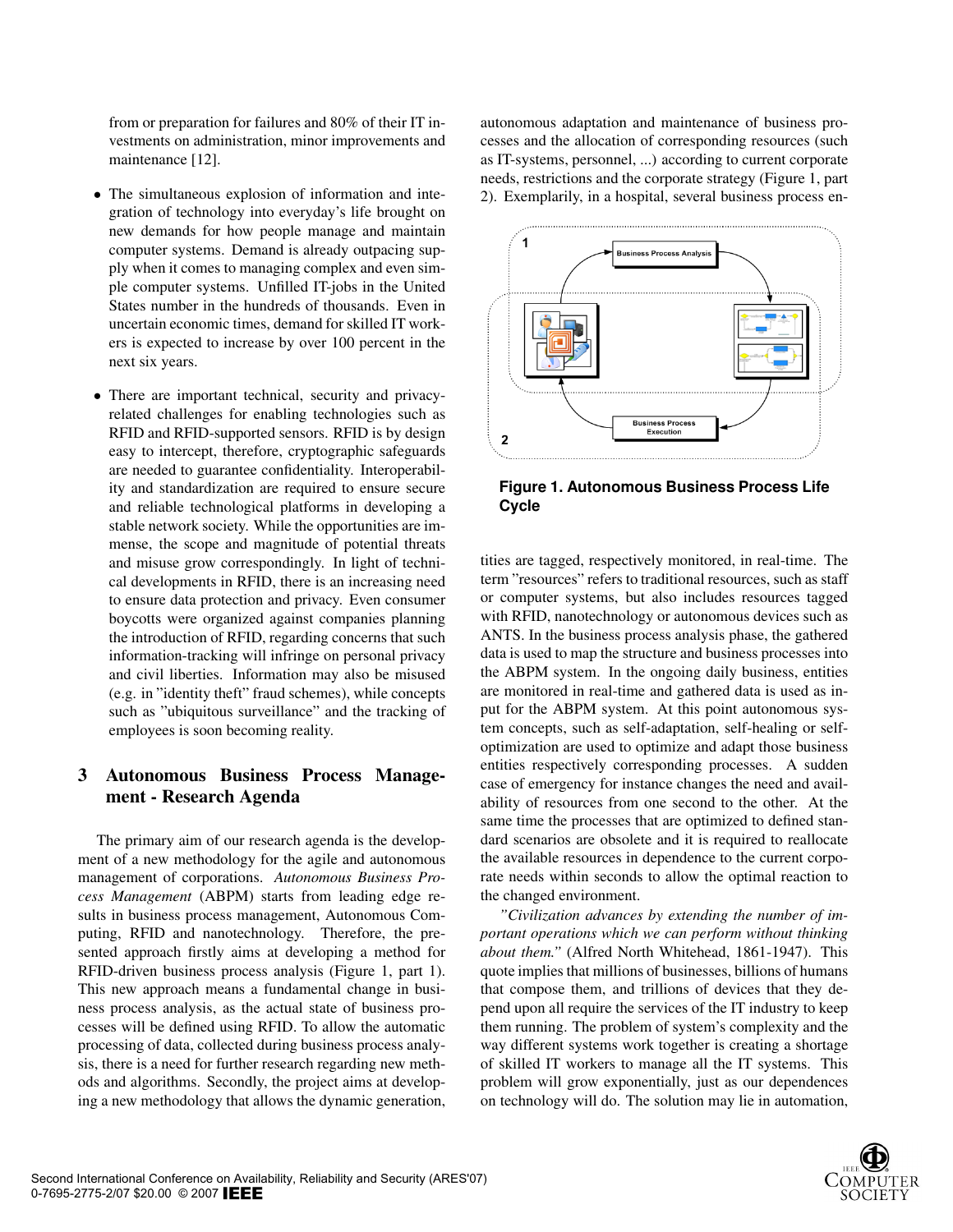from or preparation for failures and 80% of their IT investments on administration, minor improvements and maintenance [12].

- The simultaneous explosion of information and integration of technology into everyday's life brought on new demands for how people manage and maintain computer systems. Demand is already outpacing supply when it comes to managing complex and even simple computer systems. Unfilled IT-jobs in the United States number in the hundreds of thousands. Even in uncertain economic times, demand for skilled IT workers is expected to increase by over 100 percent in the next six years.
- There are important technical, security and privacyrelated challenges for enabling technologies such as RFID and RFID-supported sensors. RFID is by design easy to intercept, therefore, cryptographic safeguards are needed to guarantee confidentiality. Interoperability and standardization are required to ensure secure and reliable technological platforms in developing a stable network society. While the opportunities are immense, the scope and magnitude of potential threats and misuse grow correspondingly. In light of technical developments in RFID, there is an increasing need to ensure data protection and privacy. Even consumer boycotts were organized against companies planning the introduction of RFID, regarding concerns that such information-tracking will infringe on personal privacy and civil liberties. Information may also be misused (e.g. in "identity theft" fraud schemes), while concepts such as "ubiquitous surveillance" and the tracking of employees is soon becoming reality.

## 3 Autonomous Business Process Management - Research Agenda

The primary aim of our research agenda is the development of a new methodology for the agile and autonomous management of corporations. *Autonomous Business Process Management* (ABPM) starts from leading edge results in business process management, Autonomous Computing, RFID and nanotechnology. Therefore, the presented approach firstly aims at developing a method for RFID-driven business process analysis (Figure 1, part 1). This new approach means a fundamental change in business process analysis, as the actual state of business processes will be defined using RFID. To allow the automatic processing of data, collected during business process analysis, there is a need for further research regarding new methods and algorithms. Secondly, the project aims at developing a new methodology that allows the dynamic generation,

autonomous adaptation and maintenance of business processes and the allocation of corresponding resources (such as IT-systems, personnel, ...) according to current corporate needs, restrictions and the corporate strategy (Figure 1, part 2). Exemplarily, in a hospital, several business process en-



**Figure 1. Autonomous Business Process Life Cycle**

tities are tagged, respectively monitored, in real-time. The term "resources" refers to traditional resources, such as staff or computer systems, but also includes resources tagged with RFID, nanotechnology or autonomous devices such as ANTS. In the business process analysis phase, the gathered data is used to map the structure and business processes into the ABPM system. In the ongoing daily business, entities are monitored in real-time and gathered data is used as input for the ABPM system. At this point autonomous system concepts, such as self-adaptation, self-healing or selfoptimization are used to optimize and adapt those business entities respectively corresponding processes. A sudden case of emergency for instance changes the need and availability of resources from one second to the other. At the same time the processes that are optimized to defined standard scenarios are obsolete and it is required to reallocate the available resources in dependence to the current corporate needs within seconds to allow the optimal reaction to the changed environment.

*"Civilization advances by extending the number of important operations which we can perform without thinking about them."* (Alfred North Whitehead, 1861-1947). This quote implies that millions of businesses, billions of humans that compose them, and trillions of devices that they depend upon all require the services of the IT industry to keep them running. The problem of system's complexity and the way different systems work together is creating a shortage of skilled IT workers to manage all the IT systems. This problem will grow exponentially, just as our dependences on technology will do. The solution may lie in automation,

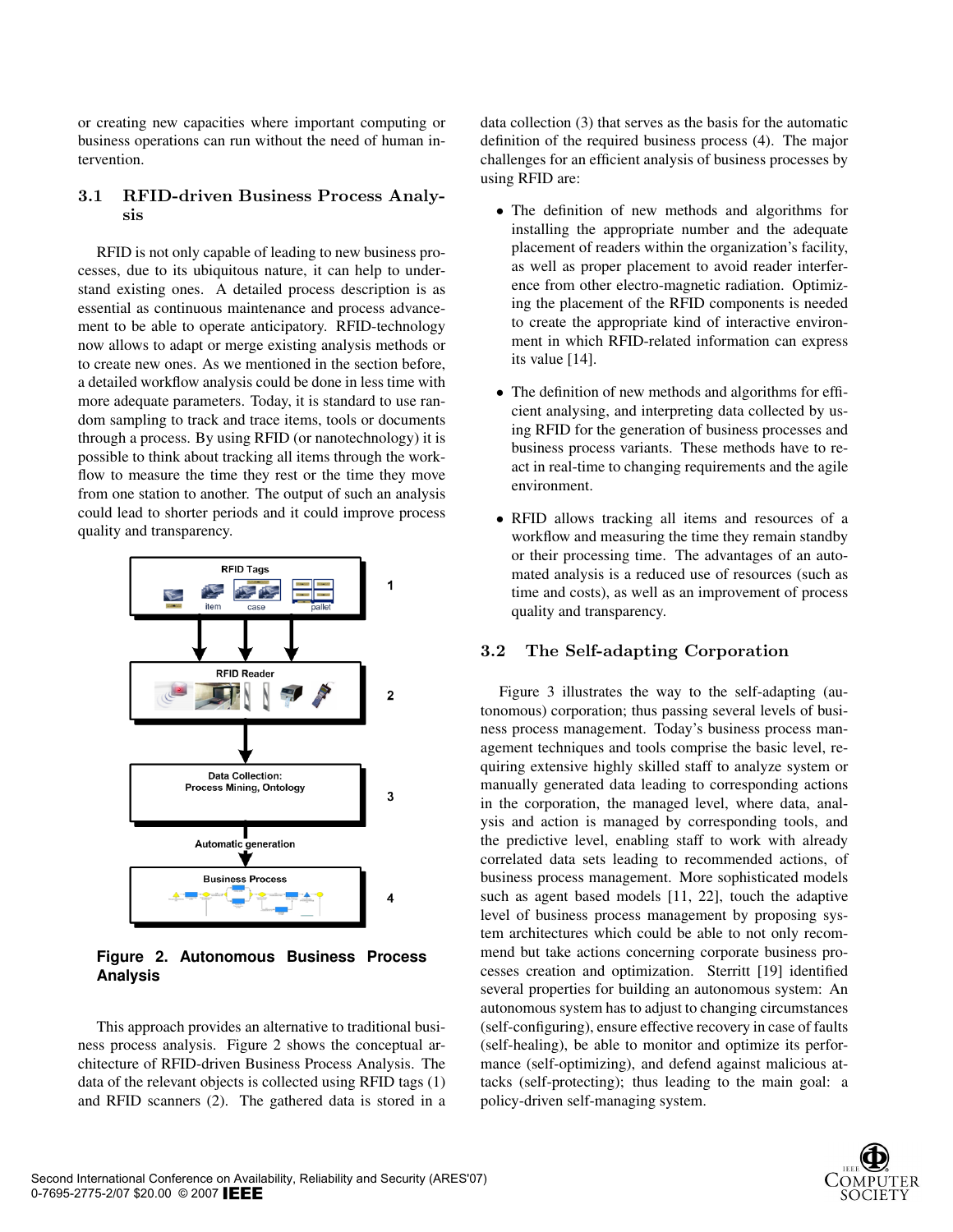or creating new capacities where important computing or business operations can run without the need of human intervention.

## 3.1 RFID-driven Business Process Analysis

RFID is not only capable of leading to new business processes, due to its ubiquitous nature, it can help to understand existing ones. A detailed process description is as essential as continuous maintenance and process advancement to be able to operate anticipatory. RFID-technology now allows to adapt or merge existing analysis methods or to create new ones. As we mentioned in the section before, a detailed workflow analysis could be done in less time with more adequate parameters. Today, it is standard to use random sampling to track and trace items, tools or documents through a process. By using RFID (or nanotechnology) it is possible to think about tracking all items through the workflow to measure the time they rest or the time they move from one station to another. The output of such an analysis could lead to shorter periods and it could improve process quality and transparency.



**Figure 2. Autonomous Business Process Analysis**

This approach provides an alternative to traditional business process analysis. Figure 2 shows the conceptual architecture of RFID-driven Business Process Analysis. The data of the relevant objects is collected using RFID tags (1) and RFID scanners (2). The gathered data is stored in a data collection (3) that serves as the basis for the automatic definition of the required business process (4). The major challenges for an efficient analysis of business processes by using RFID are:

- The definition of new methods and algorithms for installing the appropriate number and the adequate placement of readers within the organization's facility, as well as proper placement to avoid reader interference from other electro-magnetic radiation. Optimizing the placement of the RFID components is needed to create the appropriate kind of interactive environment in which RFID-related information can express its value [14].
- The definition of new methods and algorithms for efficient analysing, and interpreting data collected by using RFID for the generation of business processes and business process variants. These methods have to react in real-time to changing requirements and the agile environment.
- RFID allows tracking all items and resources of a workflow and measuring the time they remain standby or their processing time. The advantages of an automated analysis is a reduced use of resources (such as time and costs), as well as an improvement of process quality and transparency.

## 3.2 The Self-adapting Corporation

Figure 3 illustrates the way to the self-adapting (autonomous) corporation; thus passing several levels of business process management. Today's business process management techniques and tools comprise the basic level, requiring extensive highly skilled staff to analyze system or manually generated data leading to corresponding actions in the corporation, the managed level, where data, analysis and action is managed by corresponding tools, and the predictive level, enabling staff to work with already correlated data sets leading to recommended actions, of business process management. More sophisticated models such as agent based models [11, 22], touch the adaptive level of business process management by proposing system architectures which could be able to not only recommend but take actions concerning corporate business processes creation and optimization. Sterritt [19] identified several properties for building an autonomous system: An autonomous system has to adjust to changing circumstances (self-configuring), ensure effective recovery in case of faults (self-healing), be able to monitor and optimize its performance (self-optimizing), and defend against malicious attacks (self-protecting); thus leading to the main goal: a policy-driven self-managing system.

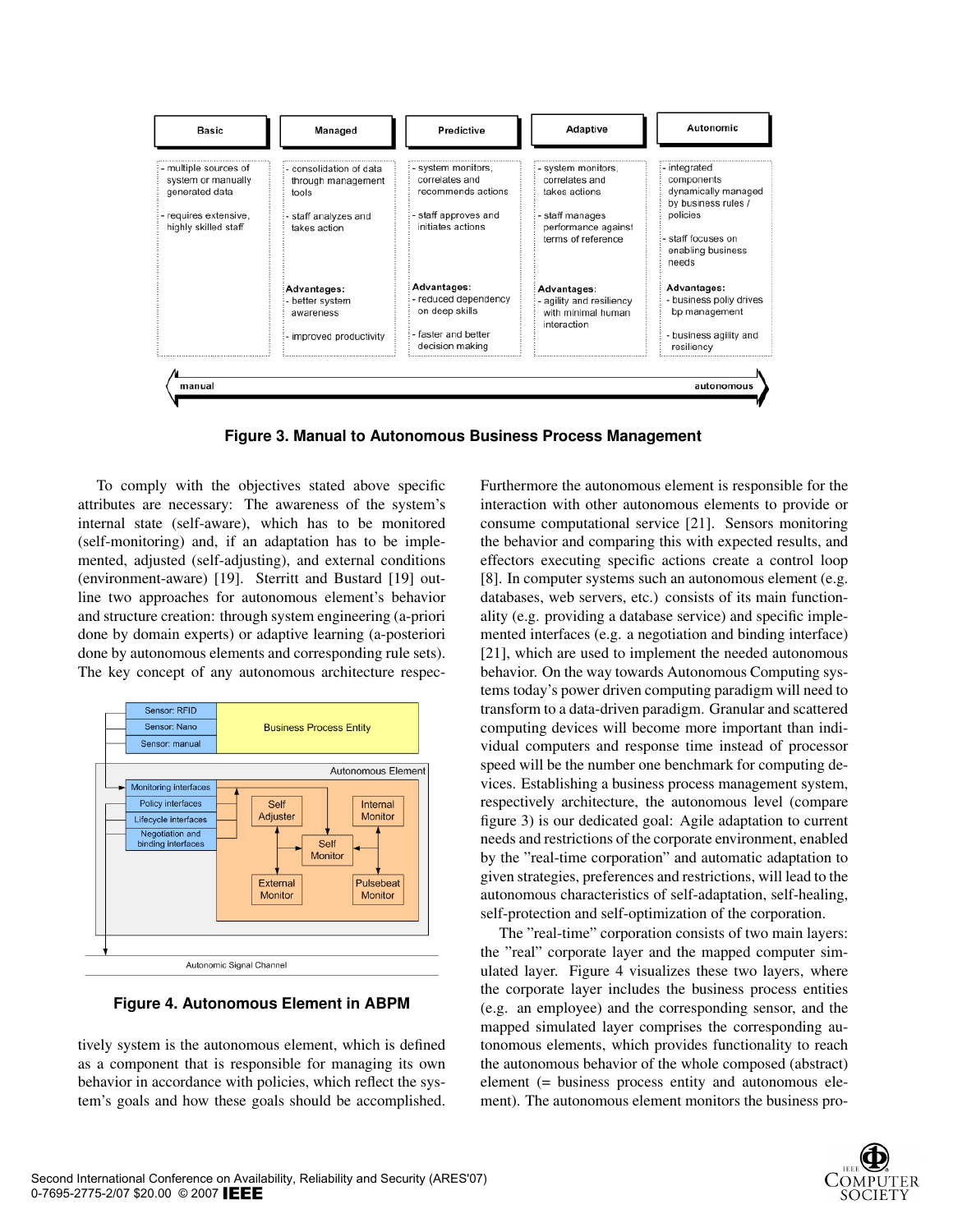

**Figure 3. Manual to Autonomous Business Process Management**

To comply with the objectives stated above specific attributes are necessary: The awareness of the system's internal state (self-aware), which has to be monitored (self-monitoring) and, if an adaptation has to be implemented, adjusted (self-adjusting), and external conditions (environment-aware) [19]. Sterritt and Bustard [19] outline two approaches for autonomous element's behavior and structure creation: through system engineering (a-priori done by domain experts) or adaptive learning (a-posteriori done by autonomous elements and corresponding rule sets). The key concept of any autonomous architecture respec-



**Figure 4. Autonomous Element in ABPM**

tively system is the autonomous element, which is defined as a component that is responsible for managing its own behavior in accordance with policies, which reflect the system's goals and how these goals should be accomplished.

Furthermore the autonomous element is responsible for the interaction with other autonomous elements to provide or consume computational service [21]. Sensors monitoring the behavior and comparing this with expected results, and effectors executing specific actions create a control loop [8]. In computer systems such an autonomous element (e.g. databases, web servers, etc.) consists of its main functionality (e.g. providing a database service) and specific implemented interfaces (e.g. a negotiation and binding interface) [21], which are used to implement the needed autonomous behavior. On the way towards Autonomous Computing systems today's power driven computing paradigm will need to transform to a data-driven paradigm. Granular and scattered computing devices will become more important than individual computers and response time instead of processor speed will be the number one benchmark for computing devices. Establishing a business process management system, respectively architecture, the autonomous level (compare figure 3) is our dedicated goal: Agile adaptation to current needs and restrictions of the corporate environment, enabled by the "real-time corporation" and automatic adaptation to given strategies, preferences and restrictions, will lead to the autonomous characteristics of self-adaptation, self-healing, self-protection and self-optimization of the corporation.

The "real-time" corporation consists of two main layers: the "real" corporate layer and the mapped computer simulated layer. Figure 4 visualizes these two layers, where the corporate layer includes the business process entities (e.g. an employee) and the corresponding sensor, and the mapped simulated layer comprises the corresponding autonomous elements, which provides functionality to reach the autonomous behavior of the whole composed (abstract) element (= business process entity and autonomous element). The autonomous element monitors the business pro-

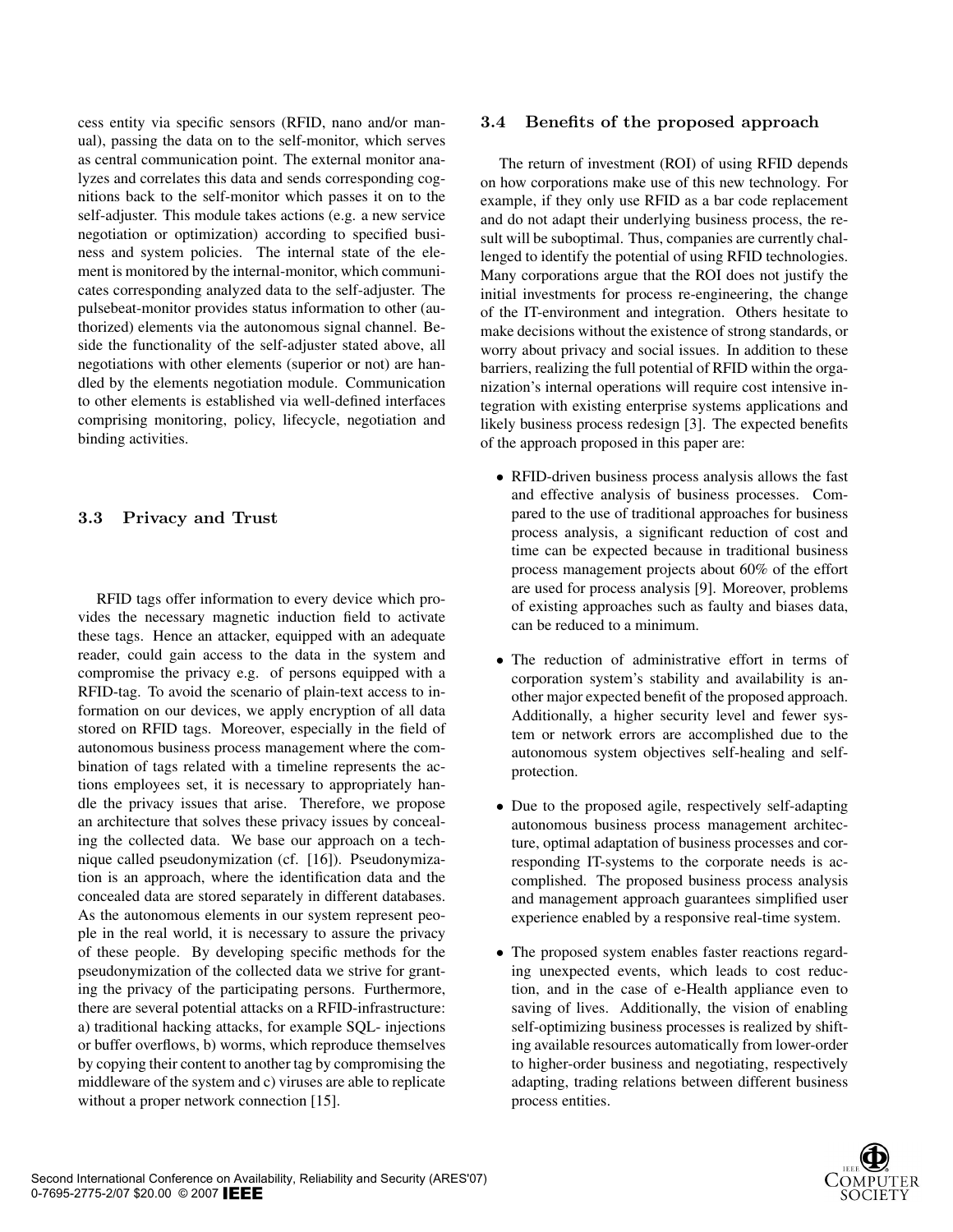cess entity via specific sensors (RFID, nano and/or manual), passing the data on to the self-monitor, which serves as central communication point. The external monitor analyzes and correlates this data and sends corresponding cognitions back to the self-monitor which passes it on to the self-adjuster. This module takes actions (e.g. a new service negotiation or optimization) according to specified business and system policies. The internal state of the element is monitored by the internal-monitor, which communicates corresponding analyzed data to the self-adjuster. The pulsebeat-monitor provides status information to other (authorized) elements via the autonomous signal channel. Beside the functionality of the self-adjuster stated above, all negotiations with other elements (superior or not) are handled by the elements negotiation module. Communication to other elements is established via well-defined interfaces comprising monitoring, policy, lifecycle, negotiation and binding activities.

## 3.3 Privacy and Trust

RFID tags offer information to every device which provides the necessary magnetic induction field to activate these tags. Hence an attacker, equipped with an adequate reader, could gain access to the data in the system and compromise the privacy e.g. of persons equipped with a RFID-tag. To avoid the scenario of plain-text access to information on our devices, we apply encryption of all data stored on RFID tags. Moreover, especially in the field of autonomous business process management where the combination of tags related with a timeline represents the actions employees set, it is necessary to appropriately handle the privacy issues that arise. Therefore, we propose an architecture that solves these privacy issues by concealing the collected data. We base our approach on a technique called pseudonymization (cf. [16]). Pseudonymization is an approach, where the identification data and the concealed data are stored separately in different databases. As the autonomous elements in our system represent people in the real world, it is necessary to assure the privacy of these people. By developing specific methods for the pseudonymization of the collected data we strive for granting the privacy of the participating persons. Furthermore, there are several potential attacks on a RFID-infrastructure: a) traditional hacking attacks, for example SQL- injections or buffer overflows, b) worms, which reproduce themselves by copying their content to another tag by compromising the middleware of the system and c) viruses are able to replicate without a proper network connection [15].

#### 3.4 Benefits of the proposed approach

The return of investment (ROI) of using RFID depends on how corporations make use of this new technology. For example, if they only use RFID as a bar code replacement and do not adapt their underlying business process, the result will be suboptimal. Thus, companies are currently challenged to identify the potential of using RFID technologies. Many corporations argue that the ROI does not justify the initial investments for process re-engineering, the change of the IT-environment and integration. Others hesitate to make decisions without the existence of strong standards, or worry about privacy and social issues. In addition to these barriers, realizing the full potential of RFID within the organization's internal operations will require cost intensive integration with existing enterprise systems applications and likely business process redesign [3]. The expected benefits of the approach proposed in this paper are:

- RFID-driven business process analysis allows the fast and effective analysis of business processes. Compared to the use of traditional approaches for business process analysis, a significant reduction of cost and time can be expected because in traditional business process management projects about 60% of the effort are used for process analysis [9]. Moreover, problems of existing approaches such as faulty and biases data, can be reduced to a minimum.
- The reduction of administrative effort in terms of corporation system's stability and availability is another major expected benefit of the proposed approach. Additionally, a higher security level and fewer system or network errors are accomplished due to the autonomous system objectives self-healing and selfprotection.
- Due to the proposed agile, respectively self-adapting autonomous business process management architecture, optimal adaptation of business processes and corresponding IT-systems to the corporate needs is accomplished. The proposed business process analysis and management approach guarantees simplified user experience enabled by a responsive real-time system.
- The proposed system enables faster reactions regarding unexpected events, which leads to cost reduction, and in the case of e-Health appliance even to saving of lives. Additionally, the vision of enabling self-optimizing business processes is realized by shifting available resources automatically from lower-order to higher-order business and negotiating, respectively adapting, trading relations between different business process entities.